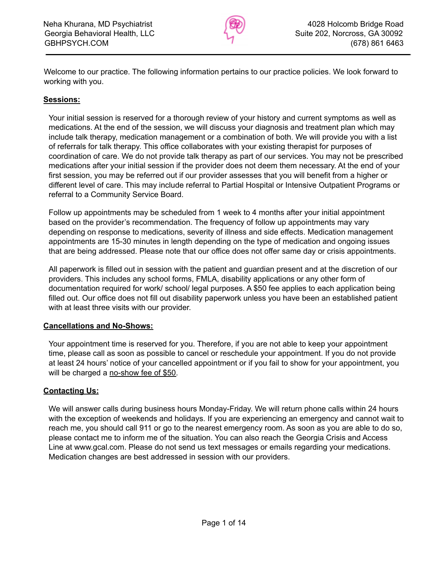

Welcome to our practice. The following information pertains to our practice policies. We look forward to working with you.

#### **Sessions:**

Your initial session is reserved for a thorough review of your history and current symptoms as well as medications. At the end of the session, we will discuss your diagnosis and treatment plan which may include talk therapy, medication management or a combination of both. We will provide you with a list of referrals for talk therapy. This office collaborates with your existing therapist for purposes of coordination of care. We do not provide talk therapy as part of our services. You may not be prescribed medications after your initial session if the provider does not deem them necessary. At the end of your first session, you may be referred out if our provider assesses that you will benefit from a higher or different level of care. This may include referral to Partial Hospital or Intensive Outpatient Programs or referral to a Community Service Board.

Follow up appointments may be scheduled from 1 week to 4 months after your initial appointment based on the provider's recommendation. The frequency of follow up appointments may vary depending on response to medications, severity of illness and side effects. Medication management appointments are 15-30 minutes in length depending on the type of medication and ongoing issues that are being addressed. Please note that our office does not offer same day or crisis appointments.

All paperwork is filled out in session with the patient and guardian present and at the discretion of our providers. This includes any school forms, FMLA, disability applications or any other form of documentation required for work/ school/ legal purposes. A \$50 fee applies to each application being filled out. Our office does not fill out disability paperwork unless you have been an established patient with at least three visits with our provider.

#### **Cancellations and No-Shows:**

Your appointment time is reserved for you. Therefore, if you are not able to keep your appointment time, please call as soon as possible to cancel or reschedule your appointment. If you do not provide at least 24 hours' notice of your cancelled appointment or if you fail to show for your appointment, you will be charged a no-show fee of \$50.

#### **Contacting Us:**

We will answer calls during business hours Monday-Friday. We will return phone calls within 24 hours with the exception of weekends and holidays. If you are experiencing an emergency and cannot wait to reach me, you should call 911 or go to the nearest emergency room. As soon as you are able to do so, please contact me to inform me of the situation. You can also reach the Georgia Crisis and Access Line at www.gcal.com. Please do not send us text messages or emails regarding your medications. Medication changes are best addressed in session with our providers.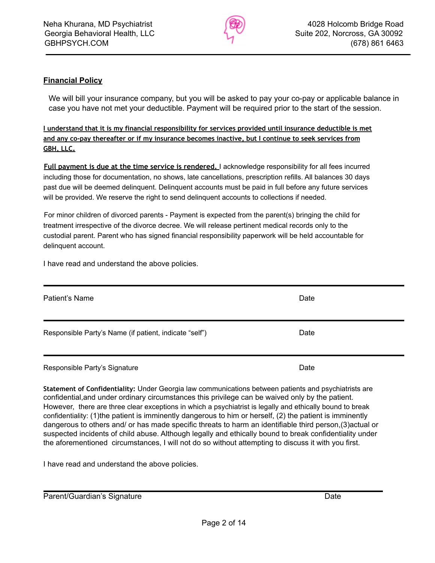

### **Financial Policy**

We will bill your insurance company, but you will be asked to pay your co-pay or applicable balance in case you have not met your deductible. Payment will be required prior to the start of the session.

**I understand that it is my financial responsibility for services provided until insurance deductible is met and any co-pay thereafter or if my insurance becomes inactive, but I continue to seek services from GBH, LLC.**

**Full payment is due at the time service is rendered.** I acknowledge responsibility for all fees incurred including those for documentation, no shows, late cancellations, prescription refills. All balances 30 days past due will be deemed delinquent. Delinquent accounts must be paid in full before any future services will be provided. We reserve the right to send delinquent accounts to collections if needed.

For minor children of divorced parents - Payment is expected from the parent(s) bringing the child for treatment irrespective of the divorce decree. We will release pertinent medical records only to the custodial parent. Parent who has signed financial responsibility paperwork will be held accountable for delinquent account.

I have read and understand the above policies.

| Patient's Name                                         | Date |
|--------------------------------------------------------|------|
| Responsible Party's Name (if patient, indicate "self") | Date |
| Responsible Party's Signature                          | Date |

**Statement of Confidentiality:** Under Georgia law communications between patients and psychiatrists are confidential,and under ordinary circumstances this privilege can be waived only by the patient. However, there are three clear exceptions in which a psychiatrist is legally and ethically bound to break confidentiality: (1)the patient is imminently dangerous to him or herself, (2) the patient is imminently dangerous to others and/ or has made specific threats to harm an identifiable third person,(3)actual or suspected incidents of child abuse. Although legally and ethically bound to break confidentiality under the aforementioned circumstances, I will not do so without attempting to discuss it with you first.

I have read and understand the above policies.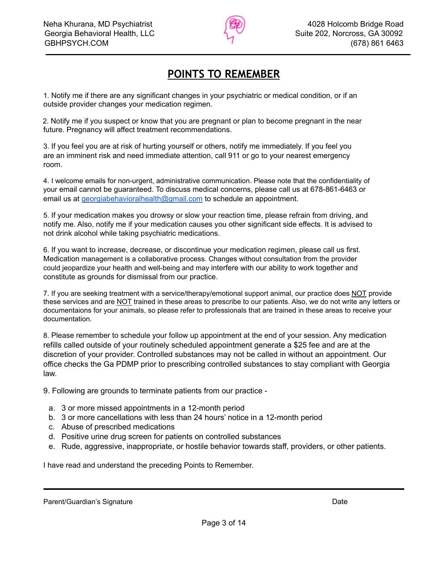

## **POINTS TO REMEMBER**

1. Notify me if there are any significant changes in your psychiatric or medical condition, or if an outside provider changes your medication regimen.

2. Notify me if you suspect or know that you are pregnant or plan to become pregnant in the near future. Pregnancy will affect treatment recommendations.

3. If you feel you are at risk of hurting yourself or others, notify me immediately. If you feel you are an imminent risk and need immediate attention, call 911 or go to your nearest emergency room.

4. I welcome emails for non-urgent, administrative communication. Please note that the confidentiality of your email cannot be guaranteed. To discuss medical concerns, please call us at 678-861-6463 or email us at [georgiabehavioralhealth@gmail.com](mailto:georgiabehavioralhealth@gmail.com) to schedule an appointment.

5. If your medication makes you drowsy or slow your reaction time, please refrain from driving, and notify me. Also, notify me if your medication causes you other significant side effects. It is advised to not drink alcohol while taking psychiatric medications.

6. If you want to increase, decrease, or discontinue your medication regimen, please call us first. Medication management is a collaborative process. Changes without consultation from the provider could jeopardize your health and well-being and may interfere with our ability to work together and constitute as grounds for dismissal from our practice.

7. If you are seeking treatment with a service/therapy/emotional support animal, our practice does NOT provide these services and are NOT trained in these areas to prescribe to our patients. Also, we do not write any letters or documentaions for your animals, so please refer to professionals that are trained in these areas to receive your documentation.

8. Please remember to schedule your follow up appointment at the end of your session. Any medication refills called outside of your routinely scheduled appointment generate a \$25 fee and are at the discretion of your provider. Controlled substances may not be called in without an appointment. Our office checks the Ga PDMP prior to prescribing controlled substances to stay compliant with Georgia law.

9. Following are grounds to terminate patients from our practice -

- a. 3 or more missed appointments in a 12-month period
- b. 3 or more cancellations with less than 24 hours' notice in a 12-month period
- c. Abuse of prescribed medications
- d. Positive urine drug screen for patients on controlled substances
- e. Rude, aggressive, inappropriate, or hostile behavior towards staff, providers, or other patients.

I have read and understand the preceding Points to Remember.

Parent/Guardian's Signature **Date** Date of Contract and Date Date Date Date of Contract and Date Date Date of Contract and Date Date of Contract and Date of Contract and Date of Contract and Date of Contract and Date of Co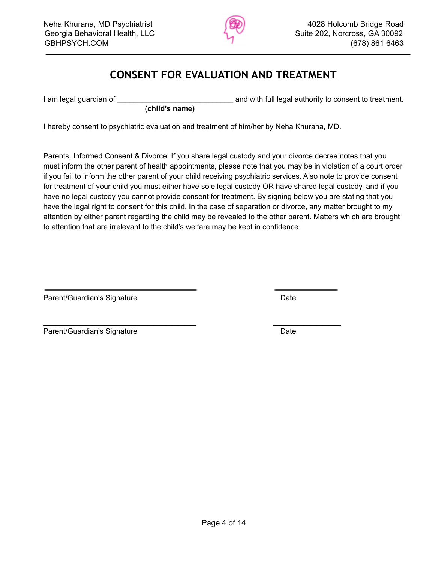

### **CONSENT FOR EVALUATION AND TREATMENT**

I am legal guardian of \_\_\_\_\_\_\_\_\_\_\_\_\_\_\_\_\_\_\_\_\_\_\_\_\_\_\_\_ and with full legal authority to consent to treatment.

I hereby consent to psychiatric evaluation and treatment of him/her by Neha Khurana, MD.

\_\_\_\_\_\_\_\_\_\_\_\_\_\_\_\_\_\_\_\_\_\_\_\_\_ \_\_\_\_\_\_\_\_\_\_\_

(**child's name)**

Parents, Informed Consent & Divorce: If you share legal custody and your divorce decree notes that you must inform the other parent of health appointments, please note that you may be in violation of a court order if you fail to inform the other parent of your child receiving psychiatric services. Also note to provide consent for treatment of your child you must either have sole legal custody OR have shared legal custody, and if you have no legal custody you cannot provide consent for treatment. By signing below you are stating that you have the legal right to consent for this child. In the case of separation or divorce, any matter brought to my attention by either parent regarding the child may be revealed to the other parent. Matters which are brought to attention that are irrelevant to the child's welfare may be kept in confidence.

Parent/Guardian's Signature **Date of Australian** Date Date

Parent/Guardian's Signature **Date** Date Date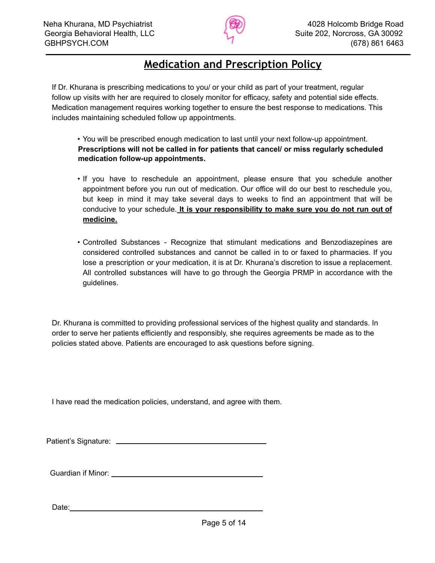

### **Medication and Prescription Policy**

If Dr. Khurana is prescribing medications to you/ or your child as part of your treatment, regular follow up visits with her are required to closely monitor for efficacy, safety and potential side effects. Medication management requires working together to ensure the best response to medications. This includes maintaining scheduled follow up appointments.

• You will be prescribed enough medication to last until your next follow-up appointment. **Prescriptions will not be called in for patients that cancel/ or miss regularly scheduled medication follow-up appointments.**

- If you have to reschedule an appointment, please ensure that you schedule another appointment before you run out of medication. Our office will do our best to reschedule you, but keep in mind it may take several days to weeks to find an appointment that will be conducive to your schedule. **It is your responsibility to make sure you do not run out of medicine.**
- Controlled Substances Recognize that stimulant medications and Benzodiazepines are considered controlled substances and cannot be called in to or faxed to pharmacies. If you lose a prescription or your medication, it is at Dr. Khurana's discretion to issue a replacement. All controlled substances will have to go through the Georgia PRMP in accordance with the guidelines.

Dr. Khurana is committed to providing professional services of the highest quality and standards. In order to serve her patients efficiently and responsibly, she requires agreements be made as to the policies stated above. Patients are encouraged to ask questions before signing.

I have read the medication policies, understand, and agree with them.

Patient's Signature: \_\_\_\_\_\_\_\_\_\_

Guardian if Minor:

Date: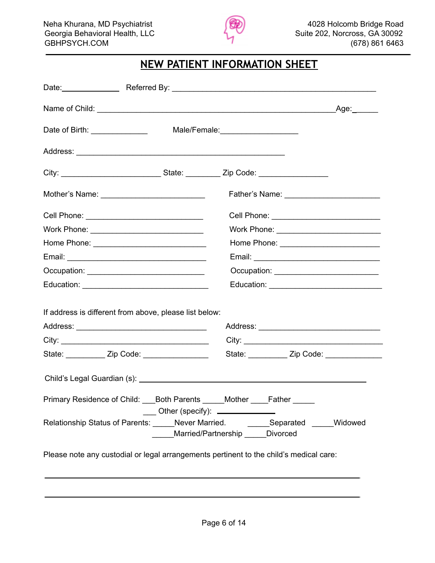

## **NEW PATIENT INFORMATION SHEET**

|                                                                                        | _Age:______                                                                              |
|----------------------------------------------------------------------------------------|------------------------------------------------------------------------------------------|
|                                                                                        |                                                                                          |
| Date of Birth: ________________                                                        | Male/Female: _______________________                                                     |
|                                                                                        |                                                                                          |
|                                                                                        |                                                                                          |
| Mother's Name: ______________________________                                          |                                                                                          |
|                                                                                        | Cell Phone: _______________________________                                              |
| Work Phone: _________________________________                                          | Work Phone: _______________________________                                              |
|                                                                                        | Home Phone: ____________________________                                                 |
|                                                                                        |                                                                                          |
| Occupation: _______________________________                                            | Occupation: ______________________________                                               |
|                                                                                        |                                                                                          |
|                                                                                        |                                                                                          |
| If address is different from above, please list below:                                 |                                                                                          |
|                                                                                        |                                                                                          |
|                                                                                        |                                                                                          |
|                                                                                        |                                                                                          |
|                                                                                        |                                                                                          |
|                                                                                        |                                                                                          |
| Primary Residence of Child: ___Both Parents _____Mother _____Father _____              |                                                                                          |
|                                                                                        | $\frac{1}{1}$ Other (specify): $\frac{1}{1}$<br>______Married/Partnership ______Divorced |
| Please note any custodial or legal arrangements pertinent to the child's medical care: | Relationship Status of Parents: _____Never Married. ________Separated _____Widowed       |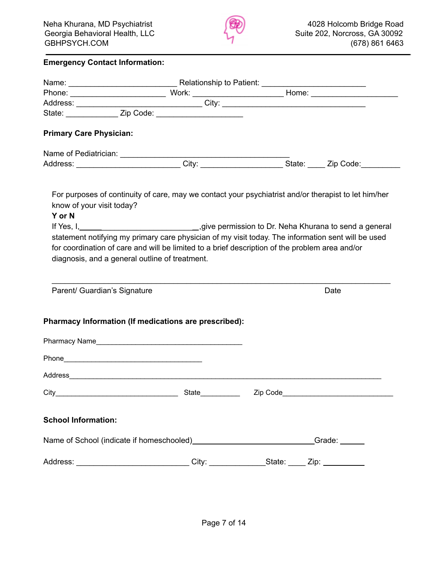

#### **Emergency Contact Information:**

| <b>Primary Care Physician:</b> |                                                                                                                                          |          |      |
|--------------------------------|------------------------------------------------------------------------------------------------------------------------------------------|----------|------|
|                                |                                                                                                                                          |          |      |
|                                |                                                                                                                                          |          |      |
|                                |                                                                                                                                          |          |      |
|                                | For purposes of continuity of care, may we contact your psychiatrist and/or therapist to let him/her                                     |          |      |
| know of your visit today?      |                                                                                                                                          |          |      |
| Y or N                         |                                                                                                                                          |          |      |
|                                | If Yes, I, 1, 2008, 1, 2008, 1, 2008, 1, 2008, 2009, 2008, 2009, 2009, 2009, 2009, 2009 permission to Dr. Neha Khurana to send a general |          |      |
|                                | statement notifying my primary care physician of my visit today. The information sent will be used                                       |          |      |
|                                | for coordination of care and will be limited to a brief description of the problem area and/or                                           |          |      |
|                                | diagnosis, and a general outline of treatment.                                                                                           |          |      |
|                                |                                                                                                                                          |          |      |
|                                |                                                                                                                                          |          |      |
| Parent/ Guardian's Signature   |                                                                                                                                          |          | Date |
|                                |                                                                                                                                          |          |      |
|                                | Pharmacy Information (If medications are prescribed):                                                                                    |          |      |
|                                |                                                                                                                                          |          |      |
|                                | Pharmacy Name                                                                                                                            |          |      |
|                                |                                                                                                                                          |          |      |
|                                |                                                                                                                                          |          |      |
|                                |                                                                                                                                          |          |      |
| City_                          | State                                                                                                                                    | Zip Code |      |
|                                |                                                                                                                                          |          |      |
| <b>School Information:</b>     |                                                                                                                                          |          |      |
|                                | Name of School (indicate if homeschooled)_____________________________Grade: _____                                                       |          |      |
|                                | Address: _______________________________City: _______________State: _____ Zip: ____________                                              |          |      |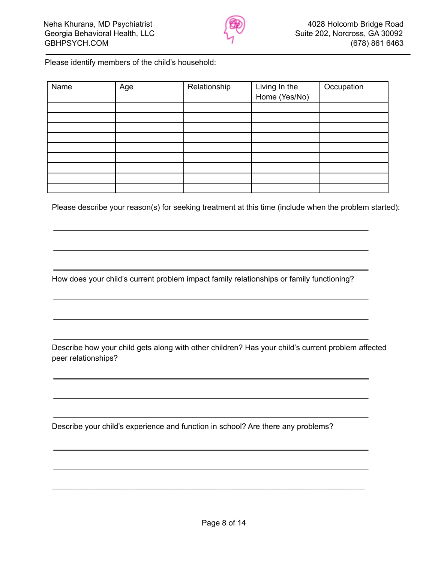

Please identify members of the child's household:

| Name | Age | Relationship | Living In the<br>Home (Yes/No) | Occupation |
|------|-----|--------------|--------------------------------|------------|
|      |     |              |                                |            |
|      |     |              |                                |            |
|      |     |              |                                |            |
|      |     |              |                                |            |
|      |     |              |                                |            |
|      |     |              |                                |            |
|      |     |              |                                |            |
|      |     |              |                                |            |
|      |     |              |                                |            |

Please describe your reason(s) for seeking treatment at this time (include when the problem started):

How does your child's current problem impact family relationships or family functioning?

Describe how your child gets along with other children? Has your child's current problem affected peer relationships?

Describe your child's experience and function in school? Are there any problems?

\_\_\_\_\_\_\_\_\_\_\_\_\_\_\_\_\_\_\_\_\_\_\_\_\_\_\_\_\_\_\_\_\_\_\_\_\_\_\_\_\_\_\_\_\_\_\_\_\_\_\_\_\_\_\_\_\_\_\_\_\_\_\_\_\_\_\_\_\_\_\_\_\_\_\_\_\_\_\_\_\_\_\_\_\_\_\_\_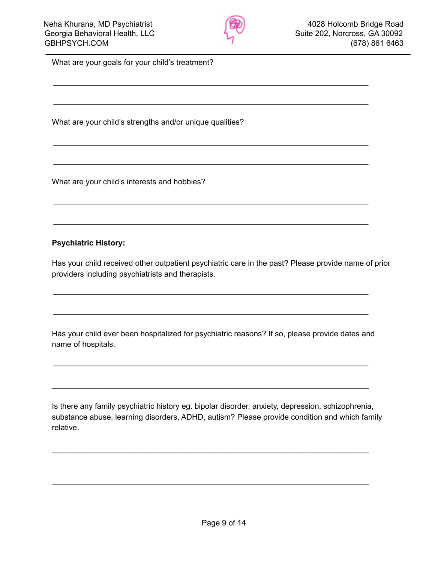

What are your goals for your child's treatment?

What are your child's strengths and/or unique qualities?

What are your child's interests and hobbies?

#### **Psychiatric History:**

Has your child received other outpatient psychiatric care in the past? Please provide name of prior providers including psychiatrists and therapists.

Has your child ever been hospitalized for psychiatric reasons? If so, please provide dates and name of hospitals.

\_\_\_\_\_\_\_\_\_\_\_\_\_\_\_\_\_\_\_\_\_\_\_\_\_\_\_\_\_\_\_\_\_\_\_\_\_\_\_\_\_\_\_\_\_\_\_\_\_\_\_\_\_\_\_\_\_\_\_\_\_\_\_\_\_\_\_\_\_\_\_\_\_

\_\_\_\_\_\_\_\_\_\_\_\_\_\_\_\_\_\_\_\_\_\_\_\_\_\_\_\_\_\_\_\_\_\_\_\_\_\_\_\_\_\_\_\_\_\_\_\_\_\_\_\_\_\_\_\_\_\_\_\_\_\_\_\_\_\_\_\_\_\_\_\_\_

\_\_\_\_\_\_\_\_\_\_\_\_\_\_\_\_\_\_\_\_\_\_\_\_\_\_\_\_\_\_\_\_\_\_\_\_\_\_\_\_\_\_\_\_\_\_\_\_\_\_\_\_\_\_\_\_\_\_\_\_\_\_\_\_\_\_\_\_\_\_\_\_\_

Is there any family psychiatric history eg. bipolar disorder, anxiety, depression, schizophrenia, substance abuse, learning disorders, ADHD, autism? Please provide condition and which family relative.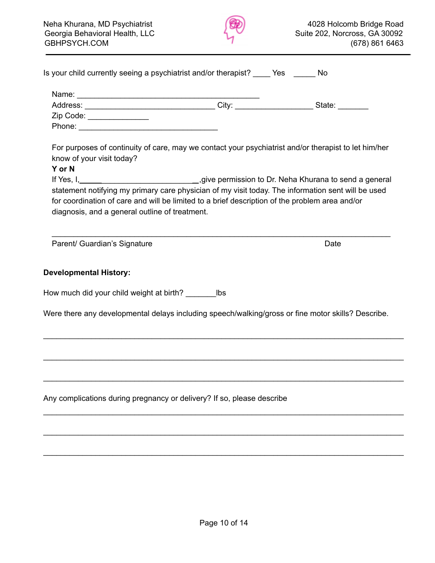

| Is your child currently seeing a psychiatrist and/or therapist? _____ Yes ______ No                                                                                                                                                                    |      |
|--------------------------------------------------------------------------------------------------------------------------------------------------------------------------------------------------------------------------------------------------------|------|
|                                                                                                                                                                                                                                                        |      |
|                                                                                                                                                                                                                                                        |      |
| Zip Code: ______________                                                                                                                                                                                                                               |      |
|                                                                                                                                                                                                                                                        |      |
| For purposes of continuity of care, may we contact your psychiatrist and/or therapist to let him/her<br>know of your visit today?                                                                                                                      |      |
| Y or N                                                                                                                                                                                                                                                 |      |
| statement notifying my primary care physician of my visit today. The information sent will be used<br>for coordination of care and will be limited to a brief description of the problem area and/or<br>diagnosis, and a general outline of treatment. |      |
| Parent/ Guardian's Signature                                                                                                                                                                                                                           | Date |
| <b>Developmental History:</b>                                                                                                                                                                                                                          |      |
| How much did your child weight at birth? __________ lbs                                                                                                                                                                                                |      |
| Were there any developmental delays including speech/walking/gross or fine motor skills? Describe.                                                                                                                                                     |      |
|                                                                                                                                                                                                                                                        |      |
|                                                                                                                                                                                                                                                        |      |
| Any complications during pregnancy or delivery? If so, please describe                                                                                                                                                                                 |      |
|                                                                                                                                                                                                                                                        |      |
|                                                                                                                                                                                                                                                        |      |
|                                                                                                                                                                                                                                                        |      |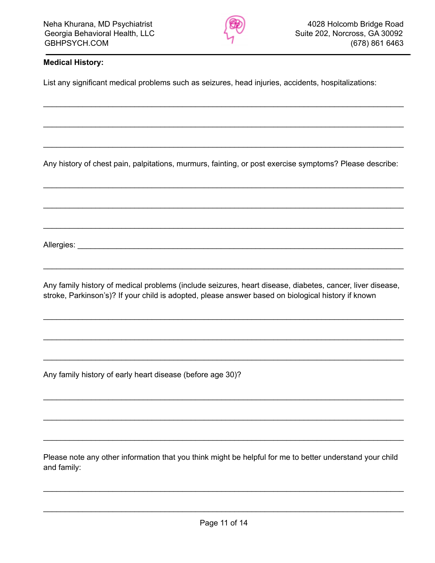

### **Medical History:**

List any significant medical problems such as seizures, head injuries, accidents, hospitalizations:

Any history of chest pain, palpitations, murmurs, fainting, or post exercise symptoms? Please describe:

\_\_\_\_\_\_\_\_\_\_\_\_\_\_\_\_\_\_\_\_\_\_\_\_\_\_\_\_\_\_\_\_\_\_\_\_\_\_\_\_\_\_\_\_\_\_\_\_\_\_\_\_\_\_\_\_\_\_\_\_\_\_\_\_\_\_\_\_\_\_\_\_\_\_\_\_\_\_\_\_\_\_\_

\_\_\_\_\_\_\_\_\_\_\_\_\_\_\_\_\_\_\_\_\_\_\_\_\_\_\_\_\_\_\_\_\_\_\_\_\_\_\_\_\_\_\_\_\_\_\_\_\_\_\_\_\_\_\_\_\_\_\_\_\_\_\_\_\_\_\_\_\_\_\_\_\_\_\_\_\_\_\_\_\_\_\_

\_\_\_\_\_\_\_\_\_\_\_\_\_\_\_\_\_\_\_\_\_\_\_\_\_\_\_\_\_\_\_\_\_\_\_\_\_\_\_\_\_\_\_\_\_\_\_\_\_\_\_\_\_\_\_\_\_\_\_\_\_\_\_\_\_\_\_\_\_\_\_\_\_\_\_\_\_\_\_\_\_\_\_

\_\_\_\_\_\_\_\_\_\_\_\_\_\_\_\_\_\_\_\_\_\_\_\_\_\_\_\_\_\_\_\_\_\_\_\_\_\_\_\_\_\_\_\_\_\_\_\_\_\_\_\_\_\_\_\_\_\_\_\_\_\_\_\_\_\_\_\_\_\_\_\_\_\_\_\_\_\_\_\_\_\_\_

\_\_\_\_\_\_\_\_\_\_\_\_\_\_\_\_\_\_\_\_\_\_\_\_\_\_\_\_\_\_\_\_\_\_\_\_\_\_\_\_\_\_\_\_\_\_\_\_\_\_\_\_\_\_\_\_\_\_\_\_\_\_\_\_\_\_\_\_\_\_\_\_\_\_\_\_\_\_\_\_\_\_\_

\_\_\_\_\_\_\_\_\_\_\_\_\_\_\_\_\_\_\_\_\_\_\_\_\_\_\_\_\_\_\_\_\_\_\_\_\_\_\_\_\_\_\_\_\_\_\_\_\_\_\_\_\_\_\_\_\_\_\_\_\_\_\_\_\_\_\_\_\_\_\_\_\_\_\_\_\_\_\_\_\_\_\_

Allergies: \_\_\_\_\_\_\_\_\_\_\_\_\_\_\_\_\_\_\_\_\_\_\_\_\_\_\_\_\_\_\_\_\_\_\_\_\_\_\_\_\_\_\_\_\_\_\_\_\_\_\_\_\_\_\_\_\_\_\_\_\_\_\_\_\_\_\_\_\_\_\_\_\_\_\_

Any family history of medical problems (include seizures, heart disease, diabetes, cancer, liver disease, stroke, Parkinson's)? If your child is adopted, please answer based on biological history if known

\_\_\_\_\_\_\_\_\_\_\_\_\_\_\_\_\_\_\_\_\_\_\_\_\_\_\_\_\_\_\_\_\_\_\_\_\_\_\_\_\_\_\_\_\_\_\_\_\_\_\_\_\_\_\_\_\_\_\_\_\_\_\_\_\_\_\_\_\_\_\_\_\_\_\_\_\_\_\_\_\_\_\_

\_\_\_\_\_\_\_\_\_\_\_\_\_\_\_\_\_\_\_\_\_\_\_\_\_\_\_\_\_\_\_\_\_\_\_\_\_\_\_\_\_\_\_\_\_\_\_\_\_\_\_\_\_\_\_\_\_\_\_\_\_\_\_\_\_\_\_\_\_\_\_\_\_\_\_\_\_\_\_\_\_\_\_

\_\_\_\_\_\_\_\_\_\_\_\_\_\_\_\_\_\_\_\_\_\_\_\_\_\_\_\_\_\_\_\_\_\_\_\_\_\_\_\_\_\_\_\_\_\_\_\_\_\_\_\_\_\_\_\_\_\_\_\_\_\_\_\_\_\_\_\_\_\_\_\_\_\_\_\_\_\_\_\_\_\_\_

\_\_\_\_\_\_\_\_\_\_\_\_\_\_\_\_\_\_\_\_\_\_\_\_\_\_\_\_\_\_\_\_\_\_\_\_\_\_\_\_\_\_\_\_\_\_\_\_\_\_\_\_\_\_\_\_\_\_\_\_\_\_\_\_\_\_\_\_\_\_\_\_\_\_\_\_\_\_\_\_\_\_\_

\_\_\_\_\_\_\_\_\_\_\_\_\_\_\_\_\_\_\_\_\_\_\_\_\_\_\_\_\_\_\_\_\_\_\_\_\_\_\_\_\_\_\_\_\_\_\_\_\_\_\_\_\_\_\_\_\_\_\_\_\_\_\_\_\_\_\_\_\_\_\_\_\_\_\_\_\_\_\_\_\_\_\_

\_\_\_\_\_\_\_\_\_\_\_\_\_\_\_\_\_\_\_\_\_\_\_\_\_\_\_\_\_\_\_\_\_\_\_\_\_\_\_\_\_\_\_\_\_\_\_\_\_\_\_\_\_\_\_\_\_\_\_\_\_\_\_\_\_\_\_\_\_\_\_\_\_\_\_\_\_\_\_\_\_\_\_

\_\_\_\_\_\_\_\_\_\_\_\_\_\_\_\_\_\_\_\_\_\_\_\_\_\_\_\_\_\_\_\_\_\_\_\_\_\_\_\_\_\_\_\_\_\_\_\_\_\_\_\_\_\_\_\_\_\_\_\_\_\_\_\_\_\_\_\_\_\_\_\_\_\_\_\_\_\_\_\_\_\_\_

Any family history of early heart disease (before age 30)?

Please note any other information that you think might be helpful for me to better understand your child and family:

\_\_\_\_\_\_\_\_\_\_\_\_\_\_\_\_\_\_\_\_\_\_\_\_\_\_\_\_\_\_\_\_\_\_\_\_\_\_\_\_\_\_\_\_\_\_\_\_\_\_\_\_\_\_\_\_\_\_\_\_\_\_\_\_\_\_\_\_\_\_\_\_\_\_\_\_\_\_\_\_\_\_\_

\_\_\_\_\_\_\_\_\_\_\_\_\_\_\_\_\_\_\_\_\_\_\_\_\_\_\_\_\_\_\_\_\_\_\_\_\_\_\_\_\_\_\_\_\_\_\_\_\_\_\_\_\_\_\_\_\_\_\_\_\_\_\_\_\_\_\_\_\_\_\_\_\_\_\_\_\_\_\_\_\_\_\_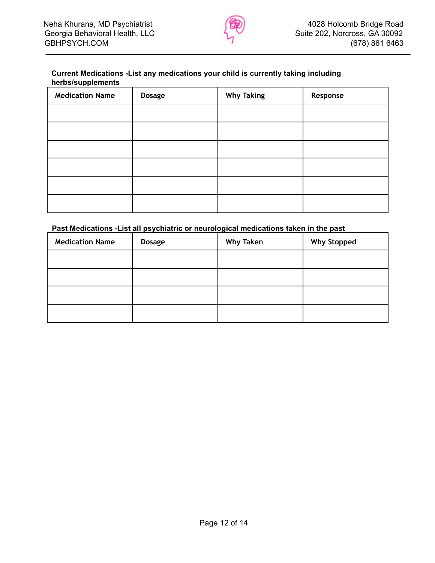

#### **Current Medications -List any medications your child is currently taking including herbs/supplements**

| . .<br><b>Medication Name</b> | <b>Dosage</b> | <b>Why Taking</b> | Response |
|-------------------------------|---------------|-------------------|----------|
|                               |               |                   |          |
|                               |               |                   |          |
|                               |               |                   |          |
|                               |               |                   |          |
|                               |               |                   |          |
|                               |               |                   |          |

#### **Past Medications -List all psychiatric or neurological medications taken in the past**

| <b>Medication Name</b> | <b>Dosage</b> | <b>Why Taken</b> | <b>Why Stopped</b> |
|------------------------|---------------|------------------|--------------------|
|                        |               |                  |                    |
|                        |               |                  |                    |
|                        |               |                  |                    |
|                        |               |                  |                    |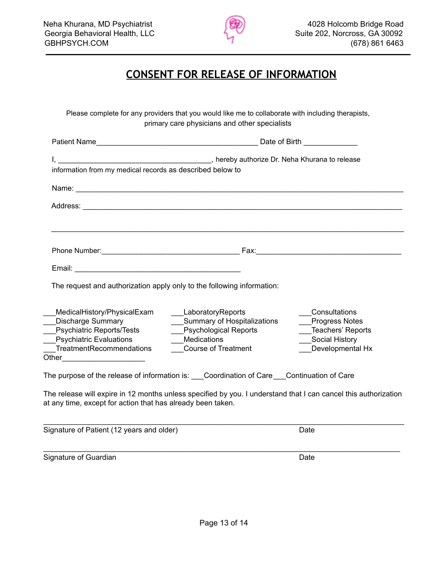

# **CONSENT FOR RELEASE OF INFORMATION**

Please complete for any providers that you would like me to collaborate with including therapists, primary care physicians and other specialists

| information from my medical records as described below to                        |                                                                                                                 |                                     |  |
|----------------------------------------------------------------------------------|-----------------------------------------------------------------------------------------------------------------|-------------------------------------|--|
|                                                                                  |                                                                                                                 |                                     |  |
|                                                                                  |                                                                                                                 |                                     |  |
|                                                                                  |                                                                                                                 |                                     |  |
|                                                                                  |                                                                                                                 |                                     |  |
|                                                                                  |                                                                                                                 |                                     |  |
|                                                                                  |                                                                                                                 |                                     |  |
|                                                                                  | The request and authorization apply only to the following information:                                          |                                     |  |
|                                                                                  |                                                                                                                 |                                     |  |
| MedicalHistory/PhysicalExam                                                      | <b>LaboratoryReports</b>                                                                                        | Consultations                       |  |
| <b>Discharge Summary</b>                                                         | Summary of Hospitalizations<br>___Psychological Reports                                                         | Progress Notes<br>Teachers' Reports |  |
|                                                                                  | Medications                                                                                                     | ___Social History                   |  |
| Psychiatric Reports/Tests<br>Psychiatric Evaluations<br>TreatmentRecommendations | <b>Course of Treatment</b>                                                                                      | Developmental Hx                    |  |
|                                                                                  |                                                                                                                 |                                     |  |
|                                                                                  | The purpose of the release of information is: ___Coordination of Care ___Continuation of Care                   |                                     |  |
|                                                                                  | The release will expire in 12 months unless specified by you. I understand that I can cancel this authorization |                                     |  |
| at any time, except for action that has already been taken.                      |                                                                                                                 |                                     |  |
| Signature of Patient (12 years and older)                                        |                                                                                                                 | Date                                |  |

\_\_\_\_\_\_\_\_\_\_\_\_\_\_\_\_\_\_\_\_\_\_\_\_\_\_\_\_\_\_\_\_\_\_\_\_\_\_\_\_\_\_\_\_\_\_\_\_\_\_\_\_\_\_\_\_\_\_\_\_\_\_\_\_\_\_\_\_\_\_\_\_\_\_\_\_\_\_\_\_\_\_\_\_\_\_

Signature of Guardian Date